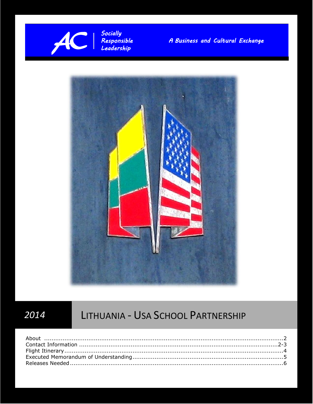

Responsible A Business and Cultural Exchange<br>Leadership



© 2013 AC

# *2014* LITHUANIA - USA SCHOOL PARTNERSHIP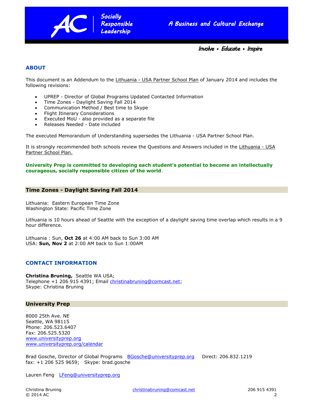

*Involve • Educate • Inspire* 

## **ABOUT**

This document is an Addendum to the Lithuania - USA Partner School Plan of January 2014 and includes the following revisions:

UPREP - Director of Global Programs Updated Contacted Information

*Socially Socially Responsible Responsible Leadership* 

- Time Zones Daylight Saving Fall 2014
- Communication Method / Best time to Skype
- Flight Itinerary Considerations
- Executed MoU also provided as a separate file
- Releases Needed Date included

The executed Memorandum of Understanding supersedes the Lithuania - USA Partner School Plan.

It is strongly recommended both schools review the Questions and Answers included in the Lithuania - USA Partner School Plan.

**University Prep is committed to developing each student's potential to become an intellectually courageous, socially responsible citizen of the world**.

### **Time Zones - Daylight Saving Fall 2014**

Lithuania: Eastern European Time Zone Washington State: Pacific Time Zone

Lithuania is 10 hours ahead of Seattle with the exception of a daylight saving time overlap which results in a 9 hour difference.

Lithuania : Sun, **Oct 26** at 4:00 AM back to Sun 3:00 AM USA: **Sun, Nov 2** at 2:00 AM back to Sun 1:00AM

### **CONTACT INFORMATION**

**Christina Bruning,** Seattle WA USA; Telephone +1 206 915 4391; Email [christinabruning@comcast.net;](mailto:christinabruning@comcast.net) Skype: Christina Bruning

### **University Prep**

8000 25th Ave. NE Seattle, WA 98115 Phone: 206.523.6407 Fax: 206.525.5320 [www.universityprep.org](file:///J:/2013%20Lithuania%20USA%20Partner%20School/www.universityprep.org) [www.universityprep.org/calendar](file:///J:/2013%20Lithuania%20USA%20Partner%20School/www.universityprep.org/calendar)

Brad Gosche, Director of Global Programs [BGosche@universityprep.org](mailto:BGosche@universityprep.org) Direct: 206.832.1219 fax: +1 206 525 9659; Skype: brad.gosche

Lauren Feng [LFeng@universityprep.org](mailto:LFeng@universityprep.org)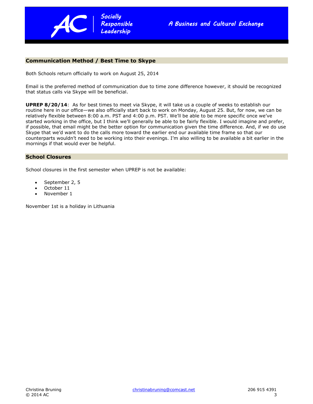

# nication Me **Communication Method / Best Time to Skype**

Both Schools return officially to work on August 25, 2014

Email is the preferred method of communication due to time zone difference however, it should be recognized that status calls via Skype will be beneficial.

**UPREP 8/20/14**: As for best times to meet via Skype, it will take us a couple of weeks to establish our routine here in our office—we also officially start back to work on Monday, August 25. But, for now, we can be relatively flexible between 8:00 a.m. PST and 4:00 p.m. PST. We'll be able to be more specific once we've started working in the office, but I think we'll generally be able to be fairly flexible. I would imagine and prefer, if possible, that email might be the better option for communication given the time difference. And, if we do use Skype that we'd want to do the calls more toward the earlier end our available time frame so that our counterparts wouldn't need to be working into their evenings. I'm also willing to be available a bit earlier in the mornings if that would ever be helpful.

### **School Closures**

School closures in the first semester when UPREP is not be available:

- September 2, 5
- October 11
- November 1

November 1st is a holiday in Lithuania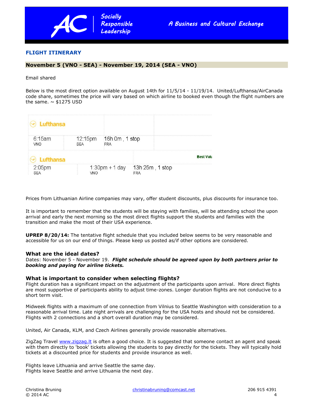

## **FLIGHT ITINERARY**

# B B **November 5 (VNO - SEA) - November 19, 2014 (SEA - VNO)**

Email shared

Below is the most direct option available on August 14th for 11/5/14 - 11/19/14. United/Lufthansa/AirCanada code share, sometimes the price will vary based on which airline to booked even though the flight numbers are the same.  $\sim$  \$1275 USD

| 6:15am<br><b>VNO</b> | 12:15pm<br><b>SEA</b> | 16h 0m , 1 stop<br>FRA |  |                 |                  |
|----------------------|-----------------------|------------------------|--|-----------------|------------------|
|                      |                       |                        |  |                 | <b>Best Valu</b> |
| 2:05pm<br><b>SFA</b> | VNO                   | $1:30$ pm + 1 day      |  | 13h 25m, 1 stop |                  |

Prices from Lithuanian Airline companies may vary, offer student discounts, plus discounts for insurance too.

It is important to remember that the students will be staying with families, will be attending school the upon arrival and early the next morning so the most direct flights support the students and families with the transition and make the most of their USA experience.

**UPREP 8/20/14:** The tentative flight schedule that you included below seems to be very reasonable and accessible for us on our end of things. Please keep us posted as/if other options are considered.

### **What are the ideal dates?**

Dates: November 5 - November 19. *Flight schedule should be agreed upon by both partners prior to booking and paying for airline tickets.*

### **What is important to consider when selecting flights?**

Flight duration has a significant impact on the adjustment of the participants upon arrival. More direct flights are most supportive of participants ability to adjust time-zones. Longer duration flights are not conducive to a short term visit.

Midweek flights with a maximum of one connection from Vilnius to Seattle Washington with consideration to a reasonable arrival time. Late night arrivals are challenging for the USA hosts and should not be considered. Flights with 2 connections and a short overall duration may be considered.

United, Air Canada, KLM, and Czech Airlines generally provide reasonable alternatives.

ZigZag Travel [www.zigzag.lt](http://www.zigzag.lt/) is often a good choice. It is suggested that someone contact an agent and speak with them directly to 'book' tickets allowing the students to pay directly for the tickets. They will typically hold tickets at a discounted price for students and provide insurance as well.

Flights leave Lithuania and arrive Seattle the same day. Flights leave Seattle and arrive Lithuania the next day.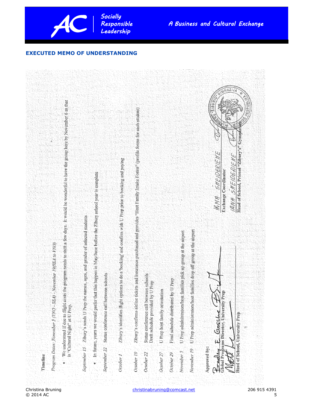

## **EXECUTED MEMO OF UNDERSTANDING**

*Socially Socially* 



 $\odot$  2014 AC 5